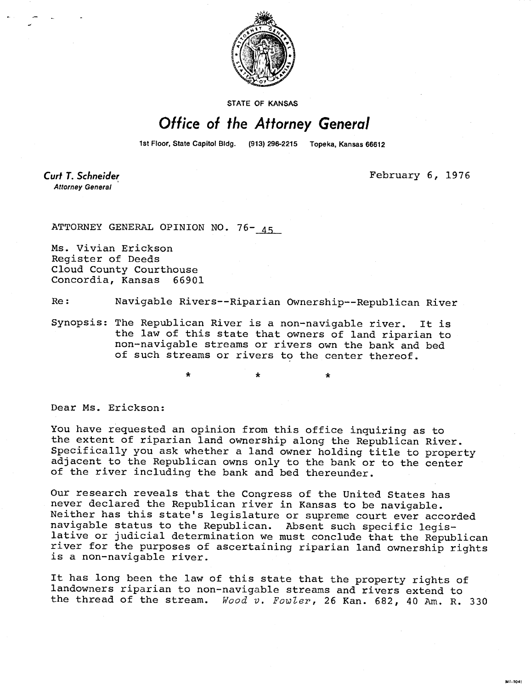

STATE OF KANSAS

## Office of the Attorney General

1st Floor, State Capitol Bldg. (913) 296-2215 Topeka, Kansas 66612

Curt T. Schneider **Attorney General** 

February 6, 1976

MI-104:

ATTORNEY GENERAL OPINION NO. 76- 45

Ms. Vivian Erickson Register of Deeds Cloud County Courthouse Concordia, Kansas 66901

Re: Navigable Rivers--Riparian Ownership--Republican River

Synopsis: The Republican River is a non-navigable river. It is the law of this state that owners of land riparian to non-navigable streams or rivers own the bank and bed of such streams or rivers to the center thereof.

Dear Ms. Erickson:

You have requested an opinion from this office inquiring as to the extent of riparian land ownership along the Republican River. Specifically you ask whether a land owner holding title to property adjacent to the Republican owns only to the bank or to the center of the river including the bank and bed thereunder.

\* \*

Our research reveals that the Congress of the United States has never declared the Republican river in Kansas to be navigable. Neither has this state's legislature or supreme court ever accorded navigable status to the Republican. Absent such specific legislative or judicial determination we must conclude that the Republican river for the purposes of ascertaining riparian land ownership rights is a non-navigable river.

It has long been the law of this state that the property rights of landowners riparian to non-navigable streams and rivers extend to the thread of the stream. Wood v. Fowler, 26 Kan. 682, 40 Am. R. 330